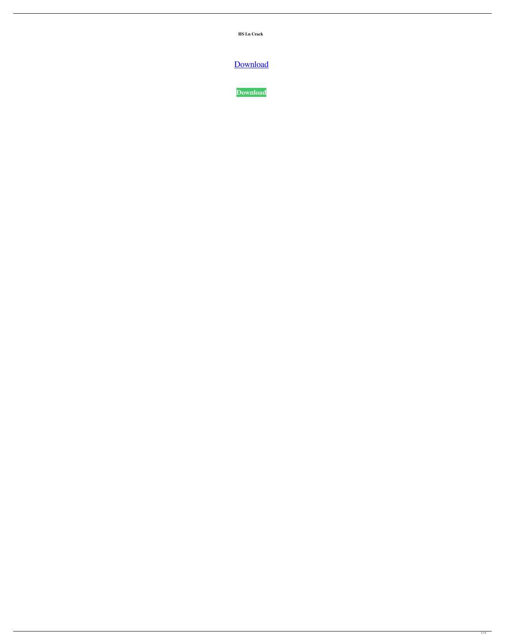**HS Ln Crack** 

[Download](http://evacdir.com/dalmations/olga/SFMgTG4SFM=consist/ZG93bmxvYWR8M0pETkhjeVlYeDhNVFkxTkRRek5qWTFPSHg4TWpVNU1IeDhLRTBwSUZkdmNtUndjbVZ6Y3lCYldFMU1VbEJESUZZeUlGQkVSbDA=rajdhevee/shoveled=bolstering)

**[Download](http://evacdir.com/dalmations/olga/SFMgTG4SFM=consist/ZG93bmxvYWR8M0pETkhjeVlYeDhNVFkxTkRRek5qWTFPSHg4TWpVNU1IeDhLRTBwSUZkdmNtUndjbVZ6Y3lCYldFMU1VbEJESUZZeUlGQkVSbDA=rajdhevee/shoveled=bolstering)**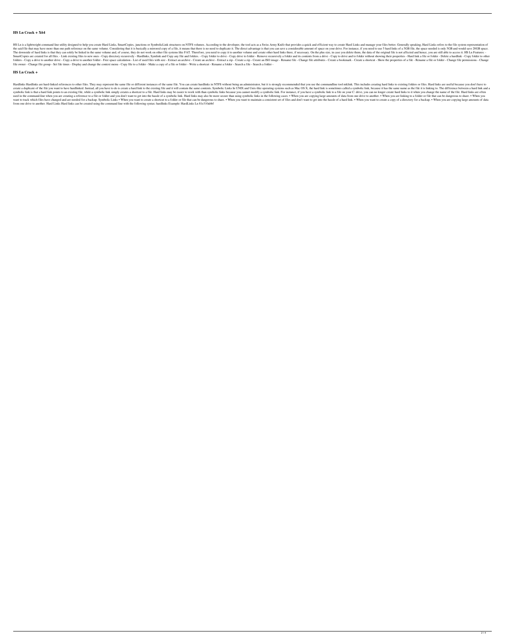## **HS Ln Crack + X64**

HS Ln is a lightweight command line utility designed to help you create Hard Links, SmartCopies, junctions or SymbolicLink structures on NTFS volumes. According to the developer, the tool acts as a Swiss Army Knife that pr the said file that may have more than one path reference on the same volume. Considering that it is basically a mirrored copy of a file, it means that there is no need to duplicate it. The direct advantage is that you can The downside of hard links is that they can solely be linked in the same volume and, of course, they do not work on other file systems like FAT. Therefore, you need to copy it to another volume and create other hard links SmartCopies are created for all files. - Link existing files to new ones - Copy directory recursively - Hardlinks, Symlink and Copy any file and folders. - Copy drive to folder and its contents from a drive - Copy to drive folders - Copy a drive to another drive - Copy a drive to another folder - Free space calculation - List of used files with size - Extract an archive - Create an archive - Create an ISO image - Rename file - Change file at file owner - Change file group - Set file times - Display and change the context menu - Copy file to a folder - Make a copy of a file or folder - Write a shortcut - Rename a folder - Search a file - Search a folder -

#### **HS Ln Crack +**

Hardlinks Hardlinks are hard-linked references to other files. They may represent the same file or different instances of the same file. You can create hardlinks in NTFS without being an administrator, but it is strongly r create a duplicate of the file you want to have hardlinked. Instead, all you have to do is create a hard link to the existing file and it will contain the same contents. Symbolic Links In UNIX and Unix-like operating syste symbolic link is that a hard link points to an existing file, while a symbolic link simply creates a shortcut to a file. Hard links may be easier to work with than symbolic links because you cannot modify a symbolic link t used in the command-line when you are creating a reference to a file or folder and you don't want to get into the hassle of a symbolic link. Hard links may also be more secure than using symbolic links in the following cas want to track which files have changed and are needed for a backup. Symbolic Links • When you want to create a shortcut to a folder or file that can be dangerous to share. • When you want to maintain a consistent set of fi from one drive to another. Hard Links Hard links can be created using the command line with the following syntax: hardlinks Example: HardLinks Ln 81e310abbf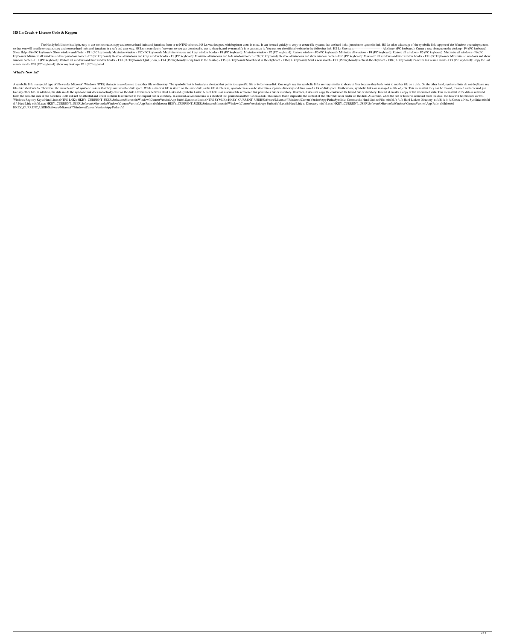# **HS Ln Crack + License Code & Keygen**

-- The HandySoft Linker is a light, easy to use tool to create, copy and remove hard links and junctions from or to NTFS volumes. HS Ln was designed with beginner users in mind. It can be used quickly to copy or create fil so that you will be able to create, copy and remove hard links and junctions in a safe and easy way. HS Ln is completely freeware, so you can download it, use it, share it, and even modify it to customize it. You can see t Show Help - F6 (PC keyboard): Show window and filelist - F11 (PC keyboard): Maximize window - F12 (PC keyboard): Maximize window and keep window border - F1 (PC keyboard): Minimize window - F2 (PC keyboard): Minimize all w keyboard): Minimize all windows and keep window border - F7 (PC keyboard): Restore all windows and keep window border - F8 (PC keyboard): Minimize all windows and hide window border - F9 (PC keyboard): Restore all windows window border - F12 (PC keyboard): Restore all windows and hide window border - F13 (PC keyboard): Quit (Close) - F14 (PC keyboard): Bring back to the desktop - F15 (PC keyboard): Search text in the clipboard - F16 (PC key search result - F20 (PC keyboard): Show my desktop - F21 (PC keyboard

## **What's New In?**

A symbolic link is a special type of file (under Microsoft Windows NTFS) that acts as a reference to another file or directory. The symbolic link is basically a shortcut that points to a specific file or folder on a disk. I files like shortcuts do. Therefore, the main benefit of symbolic links is that they save valuable disk space. While a shortcut file is stored on the same disk, as the file it refers to, symbolic links can be at of disk s like any other file. In addition, the data inside the symbolic link does not actually exist on the disk. Differences between Hard Links and Symbolic Links: A hard link is an essential file reference that points to a file o Including itself will not be affected and it will continue to reference to the original file or directory. In contrast, a symbolic link is a shortcut that points to another file on a disk. This means that it duplicates the Windows Registry Keys: Hard Links (NTFS-LNK): HKEY\_CURRENT\_USER\Software\Microsoft\Windows\CurrentVersion\App Paths\ Symbolic Links (NTFS-SYMLK): HKEY\_CURRENT\_USER\Software\Microsoft\Windows\CurrentVersion\App Paths\Symlin / /t Hard Link ntfsfhl.exe: HKEY\_CURRENT\_USER\Software\Microsoft\Windows\CurrentVersion\App Paths tfsfhl.exe\e HKEY\_CURRENT\_USER\Software\Microsoft\Windows\CurrentVersion\App Paths tfsfhl.exe\ted HKEY\_CURRENT\_USER\Software HKEY\_CURRENT\_USER\Software\Microsoft\Windows\CurrentVersion\App Paths tfsf